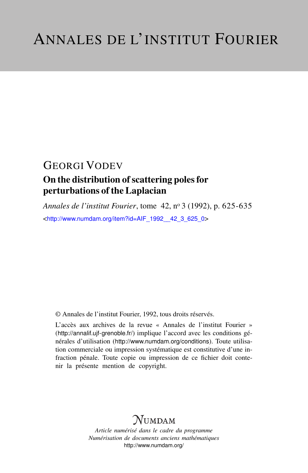## GEORGI VODEV

### On the distribution of scattering poles for perturbations of the Laplacian

*Annales de l'institut Fourier*, tome 42, n<sup>o</sup> 3 (1992), p. 625-635 <[http://www.numdam.org/item?id=AIF\\_1992\\_\\_42\\_3\\_625\\_0](http://www.numdam.org/item?id=AIF_1992__42_3_625_0)>

© Annales de l'institut Fourier, 1992, tous droits réservés.

L'accès aux archives de la revue « Annales de l'institut Fourier » (<http://annalif.ujf-grenoble.fr/>) implique l'accord avec les conditions générales d'utilisation (<http://www.numdam.org/conditions>). Toute utilisation commerciale ou impression systématique est constitutive d'une infraction pénale. Toute copie ou impression de ce fichier doit contenir la présente mention de copyright.

# NUMDAM

*Article numérisé dans le cadre du programme Numérisation de documents anciens mathématiques* <http://www.numdam.org/>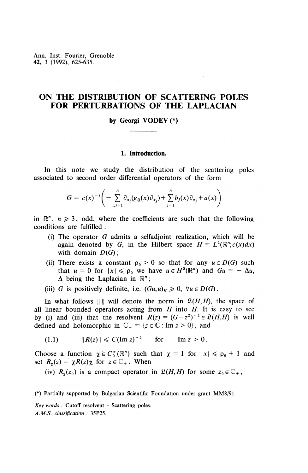Ann. Inst. Fourier, Grenoble **42,** 3 (1992), 625-635.

### **ON THE DISTRIBUTION OF SCATTERING POLES FOR PERTURBATIONS OF THE LAPLACIAN**

#### **by Georgi VODEV(\*)**

#### **1. Introduction.**

In this note we study the distribution of the scattering poles associated to second order differential operators of the form

$$
G = c(x)^{-1} \bigg( - \sum_{i,j=1}^{n} \partial_{x_i} (g_{ij}(x) \partial_{x_j}) + \sum_{j=1}^{n} b_j(x) \partial_{x_j} + a(x) \bigg)
$$

in  $\mathbb{R}^n$ ,  $n \geq 3$ , odd, where the coefficients are such that the following conditions are fulfilled :

- (i) The operator *G* admits a selfadjoint realization, which will be again denoted by G, in the Hilbert space  $H = L^2(\mathbb{R}^n; c(x)dx)$ with domain *D(G}*;
- (ii) There exists a constant  $\rho_0 > 0$  so that for any  $u \in D(G)$  such There exists a constant  $\rho_0 > 0$  so that for any  $u \in D(G)$  such that  $u = 0$  for  $|x| \le \rho_0$  we have  $u \in H^2(\mathbb{R}^n)$  and  $Gu = -\Delta u$ ,  $\Delta$  being the Laplacian in  $\mathbb{R}^n$ ;

(iii) G is positively definite, i.e.  $(Gu,u)_H \geq 0$ ,  $\forall u \in D(G)$ .

In what follows  $|| ||$  will denote the norm in  $\mathfrak{L}(H,H)$ , the space of all linear bounded operators acting from *H* into *H.* It is easy to see by (i) and (iii) that the resolvent  $R(z) = (G - z^2)^{-1} \in \mathfrak{L}(H, H)$  is well defined and holomorphic in  $\mathbb{C}_+ = \{z \in \mathbb{C} : \text{Im } z > 0\}$ , and

(1.1) 
$$
||R(z)|| \leq C(\text{Im } z)^{-2} \quad \text{for} \quad \text{Im } z > 0.
$$

Choose a function  $\chi \in C_0^\infty(\mathbb{R}^n)$  such that  $\chi = 1$  for  $|x| \le \rho_0 + 1$  and set  $R_r(z) = \chi R(z)\chi$  for  $z \in \mathbb{C}_+$ . When

(iv)  $R_r(z_0)$  is a compact operator in  $\mathfrak{L}(H,H)$  for some  $z_0 \in \mathbb{C}_+$ ,

<sup>(\*)</sup> Partially supported by Bulgarian Scientific Foundation under grant MM8/91.

*Key words :* Cutoff resolvent - Scattering poles. *A.M.S. classification :* 35P25.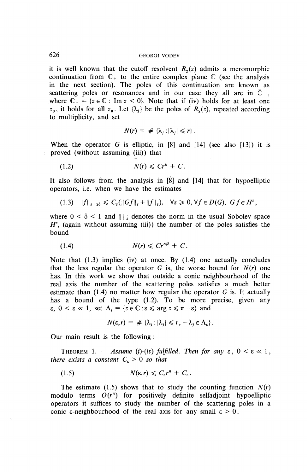#### 626 GEORGI VODEV

it is well known that the cutoff resolvent  $R<sub>r</sub>(z)$  admits a meromorphic continuation from  $\mathbb{C}_+$  to the entire complex plane  $\mathbb{C}$  (see the analysis in the next section). The poles of this continuation are known as scattering poles or resonances and in our case they all are in  $\overline{C}$ , where  $\mathbb{C}_{-} = \{z \in \mathbb{C} : \text{Im } z < 0\}$ . Note that if (iv) holds for at least one  $z_0$ , it holds for all  $z_0$ . Let  $\{\lambda_i\}$  be the poles of  $R_\gamma(z)$ , repeated according to multiplicity, and set

$$
N(r) = \#\{\lambda_j : |\lambda_j| \leq r\}.
$$

When the operator *G* is elliptic, in [8] and [14] (see also [13]) it is proved (without assuming (iii)) that

$$
(1.2) \t\t N(r) \le Cr^n + C.
$$

It also follows from the analysis in [8] and [14] that for hypoelliptic operators, i.e. when we have the estimates

 $(1.3)$   $||f||_{s+2\delta} \leq C_s(||Gf||_s+||f||_s), \quad \forall s \geq 0, \forall f \in D(G), \ Gf \in H^s,$ 

where  $0 < \delta < 1$  and  $\|\|\$ s denotes the norm in the usual Sobolev space  $H^s$ , (again without assuming (iii)) the number of the poles satisfies the bound

$$
(1.4) \t\t N(r) \leq Cr^{n/\delta} + C.
$$

Note that (1.3) implies (iv) at once. By (1.4) one actually concludes that the less regular the operator  $G$  is, the worse bound for  $N(r)$  one has. In this work we show that outside a conic neighbourhood of the real axis the number of the scattering poles satisfies a much better estimate than (1.4) no matter how regular the operator *G* is. It actually has a bound of the type (1.2). To be more precise, given any  $\epsilon$ ,  $0 \leq \epsilon \leq 1$ , set  $\Lambda_{\epsilon} = \{z \in \mathbb{C} : \epsilon \leq \arg z \leq \pi - \epsilon\}$  and

$$
N(\varepsilon,r) = \#\{\lambda_j : |\lambda_j| \leq r, -\lambda_j \in \Lambda_{\varepsilon}\}.
$$

Our main result is the following :

THEOREM 1. - Assume (i)-(iv) fulfilled. Then for any  $\varepsilon$ ,  $0 < \varepsilon \ll 1$ , *there exists a constant*  $C_{\epsilon} > 0$  *so that* 

(1.5)  $N(\varepsilon,r) \leq C_{\varepsilon}r^{n}+C_{\varepsilon}.$ 

The estimate (1.5) shows that to study the counting function  $N(r)$ modulo terms  $O(r^n)$  for positively definite selfadjoint hypoelliptic operators it suffices to study the number of the scattering poles in a conic  $\varepsilon$ -neighbourhood of the real axis for any small  $\varepsilon > 0$ .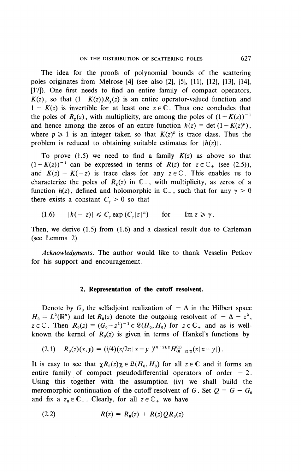The idea for the proofs of polynomial bounds of the scattering poles originates from Melrose [4] (see also [2], [5], [II], [12], [13], [14], [17]). One first needs to find an entire family of compact operators,  $K(z)$ , so that  $(1 - K(z))R<sub>v</sub>(z)$  is an entire operator-valued function and  $1 - K(z)$  is invertible for at least one  $z \in \mathbb{C}$ . Thus one concludes that the poles of  $R_r(z)$ , with multiplicity, are among the poles of  $(1-K(z))^{-1}$ and hence among the zeros of an entire function  $h(z) = \det (1 - K(z)^p)$ , where  $p \ge 1$  is an integer taken so that  $K(z)^p$  is trace class. Thus the problem is reduced to obtaining suitable estimates for  $\vert h(z)\vert$ .

To prove  $(1.5)$  we need to find a family  $K(z)$  as above so that  $(1 - K(z))^{-1}$  can be expressed in terms of  $R(z)$  for  $z \in \mathbb{C}_+$  (see (2.5)). and  $K(z) - K(-z)$  is trace class for any  $z \in \mathbb{C}$ . This enables us to characterize the poles of  $R<sub>x</sub>(z)$  in  $\mathbb{C}_-$ , with multiplicity, as zeros of a function  $h(z)$ , defined and holomorphic in  $\mathbb{C}_-$ , such that for any  $\gamma > 0$ there exists a constant  $C_{\gamma} > 0$  so that

$$
(1.6) \qquad |h(-z)| \leqslant C_{\gamma} \exp\left(C_{\gamma}|z|^n\right) \qquad \text{for} \qquad \text{Im } z \geqslant \gamma.
$$

Then, we derive (1.5) from (1.6) and a classical result due to Carleman (see Lemma 2).

*Acknowledgments.* The author would like to thank Vesselin Petkov for his support and encouragement.

#### **2. Representation of the cutoff resolvent.**

Denote by  $G_0$  the selfadjoint realization of  $-\Delta$  in the Hilbert space Denote by  $G_0$  the selfadjoint realization of  $-\Delta$  in the Hilbert spa  $H_0 = L^2(\mathbb{R}^n)$  and let  $R_0(z)$  denote the outgoing resolvent of  $-\Delta - z$  $\mathbf{z}^2$  $z \in \mathbb{C}$ . Then  $R_0(z) = (G_0 - z^2)^{-1} \in \mathfrak{L}(H_0, H_0)$  for  $z \in \mathbb{C}_+$  and as is wellknown the kernel of  $R_0(z)$  is given in terms of Hankel's functions by

$$
(2.1) \t R_0(z)(x,y) = (i/4)(z/2\pi |x-y|)^{(n-2)/2} H^{(1)}_{(n-2)/2}(z|x-y|).
$$

It is easy to see that  $\chi R_0(z)\chi \in \mathfrak{L}(H_0, H_0)$  for all  $z \in \mathbb{C}$  and it forms an entire family of compact pseudodifferential operators of order - 2. Using this together with the assumption (iv) we shall build the meromorphic continuation of the cutoff resolvent of G. Set  $Q = G - G_0$ and fix a  $z_0 \in \mathbb{C}_+$ . Clearly, for all  $z \in \mathbb{C}_+$  we have

(2.2) 
$$
R(z) = R_0(z) + R(z)QR_0(z)
$$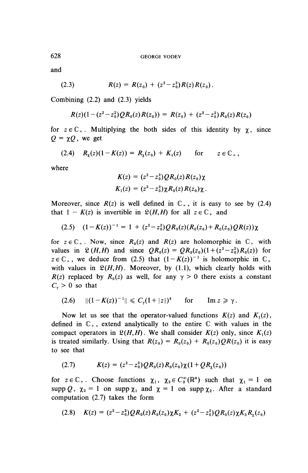and

(2.3) 
$$
R(z) = R(z_0) + (z^2 - z_0^2) R(z) R(z_0).
$$

**Combining** (2.2) **and** (2.3) **yields**

$$
R(z)(1-(z2-z02)QR0(z)R(z0)) = R(z0) + (z2-z02)R0(z)R(z0)
$$

for  $z \in \mathbb{C}_+$ . Multiplying the both sides of this identity by  $\chi$ , since  $Q = \gamma Q$ , we get

(2.4)  $R_r(z)(1 - K(z)) = R_r(z_0) + K_1(z)$  for  $z \in \mathbb{C}_+$ ,

where

$$
K(z) = (z^2 - z_0^2)QR_0(z)R(z_0)\chi
$$
  

$$
K_1(z) = (z^2 - z_0^2)\chi R_0(z)R(z_0)\chi.
$$

Moreover, since  $R(z)$  is well defined in  $\mathbb{C}_+$ , it is easy to see by (2.4) that  $1 - K(z)$  is invertible in  $\mathfrak{L}(H,H)$  for all  $z \in \mathbb{C}_+$  and

$$
(2.5) (1 - K(z))^{-1} = 1 + (z^2 - z_0^2)QR_0(z)(R_0(z_0) + R_0(z_0)QR(z))\chi
$$

for  $z \in \mathbb{C}_+$ . Now, since  $R_0(z)$  and  $R(z)$  are holomorphic in  $\mathbb{C}_+$  with values in  $\mathfrak{L}(H,H)$  and since  $QR_0(z) = QR_0(z_0) (1 + (z^2 - z_0^2)R_0(z))$  for  $z \in \mathbb{C}_+$ , we deduce from (2.5) that  $(1 - K(z))^{-1}$  is holomorphic in  $\mathbb{C}_+$ with values in  $\mathfrak{L}(H,H)$ . Moreover, by (1.1), which clearly holds with  $R(z)$  replaced by  $R_0(z)$  as well, for any  $\gamma > 0$  there exists a constant  $C_{\gamma} > 0$  so that

$$
(2.6) \quad ||(1 - K(z))^{-1}|| \leq C_{\gamma}(1 + |z|)^4 \quad \text{for} \quad \text{Im } z \geq \gamma.
$$

Now let us see that the operator-valued functions  $K(z)$  and  $K_1(z)$ , defined in  $\mathbb{C}_+$ , extend analytically to the entire  $\mathbb C$  with values in the compact operators in  $\mathfrak{L}(H,H)$ . We shall consider  $K(z)$  only, since  $K<sub>1</sub>(z)$ is treated similarly. Using that  $R(z_0) = R_0(z_0) + R_0(z_0)QR(z_0)$  it is easy to see that

$$
(2.7) \t K(z) = (z^2 - z_0^2)QR_0(z)R_0(z_0)\chi(1 + QR_\chi(z_0))
$$

for  $z \in \mathbb{C}_+$ . Choose functions  $\chi_1, \chi_2 \in C_0^\infty(\mathbb{R}^n)$  such that  $\chi_1 = 1$  on supp *Q*,  $\chi_2 = 1$  on supp  $\chi_1$  and  $\chi = 1$  on supp  $\chi_2$ . After a standard computation (2.7) takes the form

$$
(2.8) \quad K(z) = (z^2 - z_0^2)QR_0(z)R_0(z_0)\chi K_2 + (z^2 - z_0^2)QR_0(z)\chi K_3R_1(z_0)
$$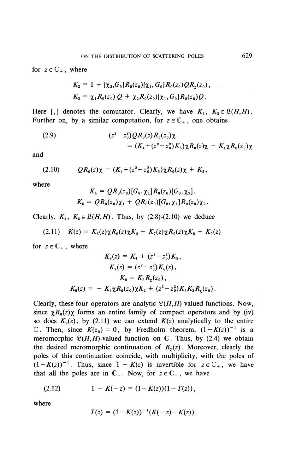for  $z \in \mathbb{C}_+$ , where

$$
K_2 = 1 + [\chi_2, G_0] R_0(z_0) [\chi_1, G_0] R_0(z_0) QR_\chi(z_0),
$$
  
\n
$$
K_3 = \chi_1 R_0(z_0) Q + \chi_2 R_0(z_0) [\chi_1, G_0] R_0(z_0) Q.
$$

Here [,] denotes the comutator. Clearly, we have  $K_2$ ,  $K_3 \in \mathfrak{L}(H,H)$ . Further on, by a similar computation, for  $z \in \mathbb{C}_+$ , one obtains

(2.9) 
$$
(z^2 - z_0^2)QR_0(z)R_0(z_0)\chi
$$

$$
= (K_4 + (z^2 - z_0^2)K_5)\chi R_0(z)\chi - K_4\chi R_0(z_0)\chi
$$

and

$$
(2.10) \t\t\t\tQR_0(z)\chi = (K_4 + (z^2-z_0^2)K_5)\chi R_0(z)\chi + K_5,
$$

where

$$
K_4 = QR_0(z_0)[G_0, \chi_1]R_0(z_0)[G_0, \chi_2],
$$
  

$$
K_5 = QR_0(z_0)\chi_1 + QR_0(z_0)[G_0, \chi_1]R_0(z_0)\chi_2.
$$

Clearly,  $K_4$ ,  $K_5 \in \mathfrak{L}(H,H)$ . Thus, by (2.8)-(2.10) we deduce

$$
(2.11) \quad K(z) = K_6(z)\chi R_0(z)\chi K_2 + K_7(z)\chi R_0(z)\chi K_8 + K_9(z)
$$

for  $z \in \mathbb{C}_+$ , where

$$
K_6(z) = K_4 + (z^2 - z_0^2) K_5,
$$
  
\n
$$
K_7(z) = (z^2 - z_0^2) K_6(z),
$$
  
\n
$$
K_8 = K_3 R_\chi(z_0),
$$
  
\n
$$
K_9(z) = - K_4 \chi R_0(z_0) \chi K_2 + (z^2 - z_0^2) K_5 K_3 R_\chi(z_0).
$$

Clearly, these four operators are analytic  $\mathfrak{L}(H,H)$ -valued functions. Now, since  $\chi R_0(z)\chi$  forms an entire family of compact operators and by (iv) so does  $K_9(z)$ , by (2.11) we can extend  $K(z)$  analytically to the entire C. Then, since  $K(z_0) = 0$ , by Fredholm theorem,  $(1 - K(z))^{-1}$  is a meromorphic  $\mathfrak{L}(H,H)$ -valued function on  $\mathbb{C}$ . Thus, by (2.4) we obtain the desired meromorphic continuation of  $R<sub>y</sub>(z)$ . Moreover, clearly the poles of this continuation coincide, with multiplicity, with the poles of  $(1 - K(z))^{-1}$ . Thus, since  $1 - K(z)$  is invertible for  $z \in \mathbb{C}_+$ , we have that all the poles are in  $\overline{C}_-$ . Now, for  $z \in \mathbb{C}_+$ , we have

$$
(2.12) \t1 - K(-z) = (1 - K(z))(1 - T(z)),
$$

where

$$
T(z) = (1 - K(z))^{-1}(K(-z) - K(z)).
$$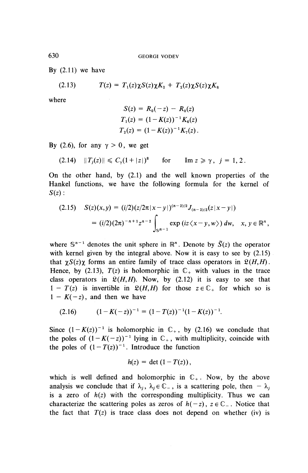By  $(2.11)$  we have

(2.13) 
$$
T(z) = T_1(z)\chi S(z)\chi K_2 + T_2(z)\chi S(z)\chi K_8
$$

where

$$
S(z) = R_0(-z) - R_0(z)
$$
  
\n
$$
T_1(z) = (1 - K(z))^{-1} K_6(z)
$$
  
\n
$$
T_2(z) = (1 - K(z))^{-1} K_7(z).
$$

By (2.6), for any  $\gamma > 0$ , we get

(2.14) 
$$
||T_j(z)|| \leq C_\gamma (1+|z|)^8
$$
 for  $\text{Im } z \geq \gamma$ ,  $j = 1, 2$ .

On the other hand, by (2.1) and the well known properties of the Hankel functions, we have the following formula for the kernel of *S(z):*

$$
\begin{aligned} \text{(2.15)} \quad S(z)(x,y) &= (i/2)(z/2\pi|x-y|)^{(n-2)/2} J_{(n-2)/2}(z|x-y|) \\ &= (i/2)(2\pi)^{-n+1} z^{n-2} \int_{\mathbb{S}^{n-1}} \exp\left(iz\left\langle x-y,w\right\rangle\right) dw, \quad x, y \in \mathbb{R}^n, \end{aligned}
$$

where  $S^{n-1}$  denotes the unit sphere in  $\mathbb{R}^n$ . Denote by  $\tilde{S}(z)$  the operator with kernel given by the integral above. Now it is easy to see by  $(2.15)$ that  $\gamma S(z)\gamma$  forms an entire family of trace class operators in  $\mathfrak{L}(H,H)$ . Hence, by (2.13),  $T(z)$  is holomorphic in  $\mathbb{C}_+$  with values in the trace class operators in  $\mathfrak{L}(H,H)$ . Now, by (2.12) it is easy to see that  $1 - T(z)$  is invertible in  $\mathfrak{L}(H,H)$  for those  $z \in \mathbb{C}_+$  for which so is  $1 - K(-z)$ , and then we have

$$
(2.16) \qquad (1-K(-z))^{-1}=(1-T(z))^{-1}(1-K(z))^{-1}.
$$

Since  $(1 - K(z))^{-1}$  is holomorphic in  $\mathbb{C}_+$ , by (2.16) we conclude that the poles of  $(1 - K(-z))^{-1}$  lying in  $\mathbb{C}_+$ , with multiplicity, coincide with the poles of  $(1 - T(z))^{-1}$ . Introduce the function

$$
h(z) = \det (1 - T(z)),
$$

which is well defined and holomorphic in  $\mathbb{C}_+$ . Now, by the above analysis we conclude that if  $\lambda_j$ ,  $\lambda_j \in \mathbb{C}_-$ , is a scattering pole, then  $-\lambda_j$ is a zero of  $h(z)$  with the corresponding multiplicity. Thus we can characterize the scattering poles as zeros of  $h(-z)$ ,  $z \in \mathbb{C}_-$ . Notice that the fact that  $T(z)$  is trace class does not depend on whether (iv) is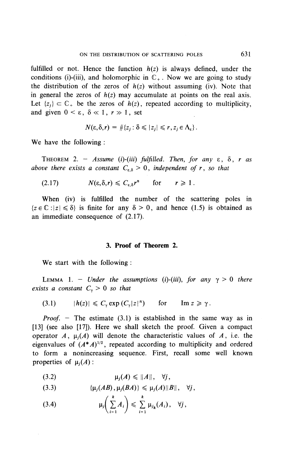fulfilled or not. Hence the function  $h(z)$  is always defined, under the conditions (i)-(iii), and holomorphic in  $\mathbb{C}_+$ . Now we are going to study the distribution of the zeros of  $h(z)$  without assuming (iv). Note that in general the zeros of *h(z)* may accumulate at points on the real axis. Let  $\{z_i\} \subset \mathbb{C}_+$  be the zeros of  $h(z)$ , repeated according to multiplicity, and given  $0 < \varepsilon$ ,  $\delta \ll 1$ ,  $r \gg 1$ , set

$$
N(\varepsilon,\delta,r)=\#\{z_j:\delta\leqslant|z_j|\leqslant r,z_j\in\Lambda_{\varepsilon}\}.
$$

We have the following :

THEOREM 2. – Assume (i)-(iii) fulfilled. Then, for any  $\varepsilon$ ,  $\delta$ ,  $r$  as *above there exists a constant*  $C_{\epsilon,\delta} > 0$ *, independent of r, so that* 

(2.17) 
$$
N(\varepsilon, \delta, r) \leq C_{\varepsilon, \delta} r^n
$$
 for  $r \geq 1$ .

When (iv) is fulfilled the number of the scattering poles in  ${z \in \mathbb{C} : |z| \leq \delta}$  is finite for any  $\delta > 0$ , and hence (1.5) is obtained as an immediate consequence of (2.17).

#### **3. Proof of Theorem 2.**

**We** start with the following :

LEMMA 1. – *Under the assumptions (i)-(iii), for any*  $\gamma > 0$  *there exists a constant*  $C_{\gamma} > 0$  *so that* 

(3.1) 
$$
|h(z)| \leq C_{\gamma} \exp(C_{\gamma}|z|^n)
$$
 for  $\text{Im } z \geq \gamma$ .

*Proof. —* The estimate (3.1) is established in the same way as in [13] (see also [17]). Here we shall sketch the proof. Given a compact operator A,  $\mu_i(A)$  will denote the characteristic values of A, i.e. the eigenvalues of  $(A^*A)^{1/2}$ , repeated according to multiplicity and ordered to form a nonincreasing sequence. First, recall some well known properties of  $\mu_i(A)$ :

$$
(3.2) \t\t \mu_j(A) \leq ||A||, \quad \forall j,
$$

(3.3) 
$$
\{\mu_j(AB), \mu_j(BA)\}\leq \mu_j(A)\|B\|, \quad \forall j,
$$

(3.4) H/S^)^ Z^(^), V7, \i=i / 1=1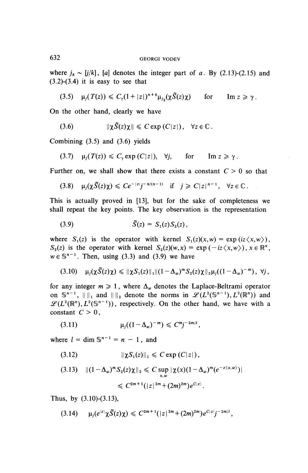where  $j_k \sim [j/k]$ , [a] denotes the integer part of a. By (2.13)-(2.15) and  $(3.2)-(3.4)$  it is easy to see that

$$
(3.5) \quad \mu_j(T(z)) \leq C_\gamma (1+|z|)^{n+6} \mu_{j_2}(\chi \tilde{S}(z)\chi) \qquad \text{for} \qquad \text{Im } z \geq \gamma.
$$

On the other hand, clearly we have

(3.6) 
$$
\|\chi \tilde{S}(z)\chi\| \leq C \exp(C|z|), \quad \forall z \in \mathbb{C}.
$$

Combining (3.5) and (3.6) yields

$$
(3.7) \quad \mu_j(T(z)) \leq C_\gamma \exp(C|z|), \quad \forall j, \quad \text{for} \quad \text{Im } z \geq \gamma.
$$

Further on, we shall show that there exists a constant  $C > 0$  so that

$$
(3.8) \quad \mu_j(\chi \tilde{S}(z)\chi) \leq C e^{-|z|}j^{-n/(n-1)} \quad \text{if} \quad j \geq C|z|^{n-1}, \quad \forall z \in \mathbb{C}.
$$

This is actually proved in [13], but for the sake of completeness we shall repeat the key points. The key observation is the representation

(3.9) 
$$
\tilde{S}(z) = S_1(z) S_2(z),
$$

where  $S_1(z)$  is the operator with kernel  $S_1(z)(x,w) = \exp(iz \langle x,w \rangle)$ ,  $S_2(z)$  is the operator with kernel  $S_2(z)(w,x) = \exp(-iz\langle x,w\rangle), x \in \mathbb{R}^n$ ,  $w \in \mathbb{S}^{n-1}$ . Then, using (3.3) and (3.9) we have

$$
(3.10) \quad \mu_j(\chi \tilde{S}(z)\chi) \leq \|\chi S_1(z)\|_1 \|(1-\Delta_w)^m S_2(z)\chi\|_2 \mu_j((1-\Delta_w)^{-m}), \ \forall j,
$$

for any integer  $m \ge 1$ , where  $\Delta_w$  denotes the Laplace-Beltrami operator on  $\mathbb{S}^{n-1}$ ,  $\|\cdot\|_1$  and  $\|\cdot\|_2$  denote the norms in  $\mathscr{L}(L^2(\mathbb{S}^{n-1}), L^2(\mathbb{R}^n))$  and  $\mathscr{L}(L^2(\mathbb{R}^n), L^2(\mathbb{S}^{n-1}))$ , respectively. On the other hand, we have with a constant  $C > 0$ ,

(3.11) 
$$
\mu_j((1-\Delta_w)^{-m}) \leq C^{m_j-2m/l},
$$

where  $l = \dim \mathbb{S}^{n-1} = n - 1$ , and

**(3.12)** IIX^iOOIIi < Cexp(C|z|),

$$
(3.13) \quad ||(1-\Delta_w)^m S_2(z)\chi||_2 \leq C \sup_{x,w} |\chi(x)(1-\Delta_w)^m (e^{-z\langle x,w\rangle})|
$$
  
\$\leq C^{2m+1} (|z|^{2m} + (2m)^{2m}) e^{C|z|}.\$

**Thus, by (3.10)-(3.13),**

$$
(3.14) \qquad \mu_j(e^{|z|}\chi\tilde{S}(z)\chi) \leq C^{2m+1}(|z|^{2m}+(2m)^{2m})e^{C|z|}j^{-2m/l},
$$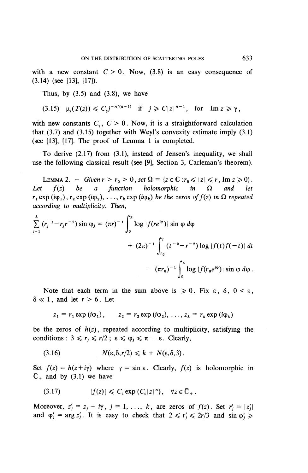with a new constant  $C>0$ . Now, (3.8) is an easy consequence of (3.14) (see [13], [17]).

Thus, by  $(3.5)$  and  $(3.8)$ , we have

$$
(3.15) \quad \mu_j(T(z)) \leq C_{\gamma} j^{-n/(n-1)} \quad \text{if} \quad j \geq C |z|^{n-1}, \quad \text{for} \quad \text{Im } z \geq \gamma,
$$

with new constants  $C_{\gamma}$ ,  $C > 0$ . Now, it is a straightforward calculation that  $(3.7)$  and  $(3.15)$  together with Weyl's convexity estimate imply  $(3.1)$ (see [13], [17]. The proof of Lemma 1 is completed.

To derive (2.17) from (3.1), instead of Jensen's inequality, we shall use the following classical result (see [9], Section 3, Carleman's theorem).

LEMMA 2. - *Given*  $r > r_0 > 0$ , set  $\Omega = \{z \in \mathbb{C} : r_0 \le |z| \le r$ , Im  $z \ge 0\}$ *Lemma 2.* Over  $\begin{cases} 2r^2 + r^2 + 2r^3 + 2r^2 + 2r^2 + 2r^2 + 2r^2 + 2r^2 + 2r^2 + 2r^2 + 2r^2 + 2r^2 + 2r^2 + 2r^2 + 2r^2 + 2r^2 + 2r^2 + 2r^2 + 2r^2 + 2r^2 + 2r^2 + 2r^2 + 2r^2 + 2r^2 + 2r^2 + 2r^2 + 2r^2 + 2r^2 + 2r^2 + 2r^2 + 2r^2 + 2r^2 + 2r^2 + 2r$ Let  $f(z)$  be a function holomorphic in  $\Omega$  and let  $r_1 \exp(i\varphi_1)$ ,  $r_2 \exp(i\varphi_2)$ , ...,  $r_k \exp(i\varphi_k)$  be the zeros of  $f(z)$  in  $\Omega$  repeated *according to multiplicity. Then,*

$$
\sum_{j=1}^{k} (r_j^{-1} - r_j r^{-2}) \sin \varphi_j = (\pi r)^{-1} \int_0^{\pi} \log |f(re^{i\varphi})| \sin \varphi \, d\varphi
$$
  
+  $(2\pi)^{-1} \int_{r_0}^r (t^{-2} - r^{-2}) \log |f(t)f(-t)| \, dt$   
-  $(\pi r_0)^{-1} \int_0^{\pi} \log |f(r_0 e^{i\varphi})| \sin \varphi \, d\varphi$ .

Note that each term in the sum above is  $\geq 0$ . Fix  $\varepsilon$ ,  $\delta$ ,  $0 < \varepsilon$ ,  $\delta \ll 1$ , and let  $r > 6$ . Let

$$
z_1 = r_1 \exp(i\varphi_1), \qquad z_2 = r_2 \exp(i\varphi_2), \ldots, z_k = r_k \exp(i\varphi_k)
$$

be the zeros of  $h(z)$ , repeated according to multiplicity, satisfying the conditions :  $3 \leq r_i \leq r/2$ ;  $\epsilon \leq \varphi_i \leq \pi - \epsilon$ . Clearly,

(3.16) 
$$
N(\varepsilon, \delta, r/2) \leq k + N(\varepsilon, \delta, 3).
$$

Set  $f(z) = h(z + i\gamma)$  where  $\gamma = \sin \varepsilon$ . Clearly,  $f(z)$  is holomorphic in  $\overline{\mathbb{C}}_+$  and by (3.1) we have

$$
(3.17) \t\t |f(z)| \leq C_{\varepsilon} \exp(C_{\varepsilon}|z|^n), \quad \forall z \in \overline{\mathbb{C}}_+.
$$

Moreover,  $z'_j = z_j - i\gamma$ ,  $j = 1, \ldots, k$ , are zeros of  $f(z)$ . Set  $r'_j = |z'_j|$ and  $\varphi'_j = \arg z'_j$ . It is easy to check that  $2 \le r'_j \le 2r/3$  and  $\sin \varphi'_j \ge$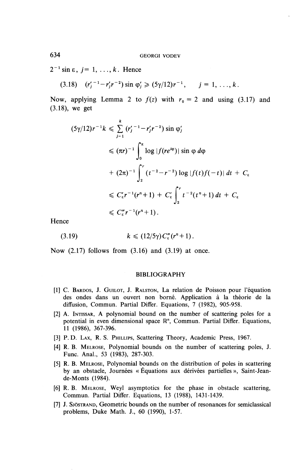$2^{-1}$  sin  $\varepsilon$ ,  $j=1,\ldots,k$ . Hence

(3.18)  $(r'_j{}^{-1} - r'_j r{}^{-2}) \sin \varphi'_j \ge (5\gamma/12)r^{-1}, \quad j = 1, \ldots, k.$ 

Now, applying Lemma 2 to  $f(z)$  with  $r_0 = 2$  and using (3.17) and (3.18), we get

$$
(5\gamma/12)r^{-1}k \leq \sum_{j=1}^{k} (r'_j{}^{-1} - r'_j r^{-2}) \sin \varphi'_j
$$
  
\n
$$
\leq (\pi r)^{-1} \int_0^{\pi} \log |f(re^{i\varphi})| \sin \varphi d\varphi
$$
  
\n
$$
+ (2\pi)^{-1} \int_2^r (t^{-2} - r^{-2}) \log |f(t)f(-t)| dt + C_{\varepsilon}
$$
  
\n
$$
\leq C_{\varepsilon}' r^{-1} (r^n + 1) + C_{\varepsilon}' \int_2^r t^{-2} (t^n + 1) dt + C_{\varepsilon}
$$
  
\n
$$
\leq C_{\varepsilon}'' r^{-1} (r^n + 1).
$$

Hence

$$
(3.19) \t k \leq (12/5\gamma) C_{\epsilon}''(r^n+1).
$$

Now  $(2.17)$  follows from  $(3.16)$  and  $(3.19)$  at once.

#### BIBLIOGRAPHY

- [1] C. BARDOS, J. GUILOT, J. RALSTON, La relation de Poisson pour 1'equation des ondes dans un ouvert non borne. Application a la theorie de la diffusion, Commun. Partial Differ. Equations, 7 (1982), 905-958.
- [2] A. INTISSAR, A polynomial bound on the number of scattering poles for a potential in even dimensional space  $\mathbb{R}^n$ , Commun. Partial Differ. Equations, 11 (1986), 367-396.
- [3] P. D. LAX, R. S. PHILLIPS, Scattering Theory, Academic Press, 1967.
- [4] R. B. MELROSE, Polynomial bounds on the number of scattering poles, J. Func. Anal., 53 (1983), 287-303.
- [5] R. B. MELROSE, Polynomial bounds on the distribution of poles in scattering by an obstacle, Journées « Équations aux dérivées partielles », Saint-Jeande-Monts (1984).
- [6] R. B. MELROSE, Weyl asymptotics for the phase in obstacle scattering, Commun. Partial Differ. Equations, 13 (1988), 1431-1439.
- [7] J. SJOSTRAND, Geometric bounds on the number of resonances for semiclassical problems. Duke Math. J., 60 (1990), 1-57.